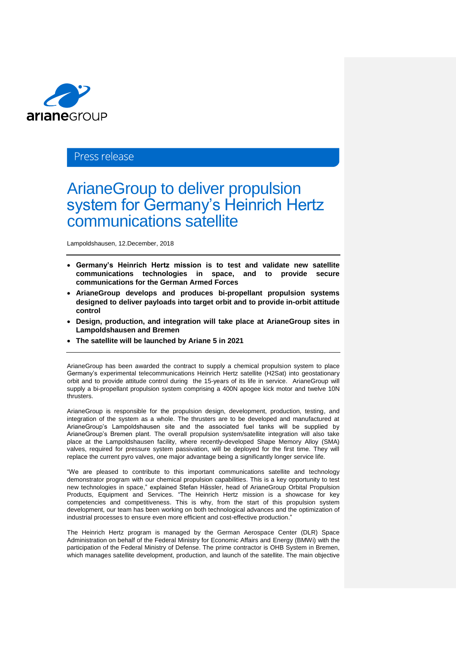

## Press release

# ArianeGroup to deliver propulsion system for Germany's Heinrich Hertz communications satellite

Lampoldshausen, 12.December, 2018

- **Germany's Heinrich Hertz mission is to test and validate new satellite communications technologies in space, and to provide secure communications for the German Armed Forces**
- **ArianeGroup develops and produces bi-propellant propulsion systems designed to deliver payloads into target orbit and to provide in-orbit attitude control**
- **Design, production, and integration will take place at ArianeGroup sites in Lampoldshausen and Bremen**
- **The satellite will be launched by Ariane 5 in 2021**

ArianeGroup has been awarded the contract to supply a chemical propulsion system to place Germany's experimental telecommunications Heinrich Hertz satellite (H2Sat) into geostationary orbit and to provide attitude control during the 15-years of its life in service. ArianeGroup will supply a bi-propellant propulsion system comprising a 400N apogee kick motor and twelve 10N thrusters.

ArianeGroup is responsible for the propulsion design, development, production, testing, and integration of the system as a whole. The thrusters are to be developed and manufactured at ArianeGroup's Lampoldshausen site and the associated fuel tanks will be supplied by ArianeGroup's Bremen plant. The overall propulsion system/satellite integration will also take place at the Lampoldshausen facility, where recently-developed Shape Memory Alloy (SMA) valves, required for pressure system passivation, will be deployed for the first time. They will replace the current pyro valves, one major advantage being a significantly longer service life.

"We are pleased to contribute to this important communications satellite and technology demonstrator program with our chemical propulsion capabilities. This is a key opportunity to test new technologies in space," explained Stefan Hässler, head of ArianeGroup Orbital Propulsion Products, Equipment and Services. "The Heinrich Hertz mission is a showcase for key competencies and competitiveness. This is why, from the start of this propulsion system development, our team has been working on both technological advances and the optimization of industrial processes to ensure even more efficient and cost-effective production."

The Heinrich Hertz program is managed by the German Aerospace Center (DLR) Space Administration on behalf of the Federal Ministry for Economic Affairs and Energy (BMWi) with the participation of the Federal Ministry of Defense. The prime contractor is OHB System in Bremen, which manages satellite development, production, and launch of the satellite. The main objective